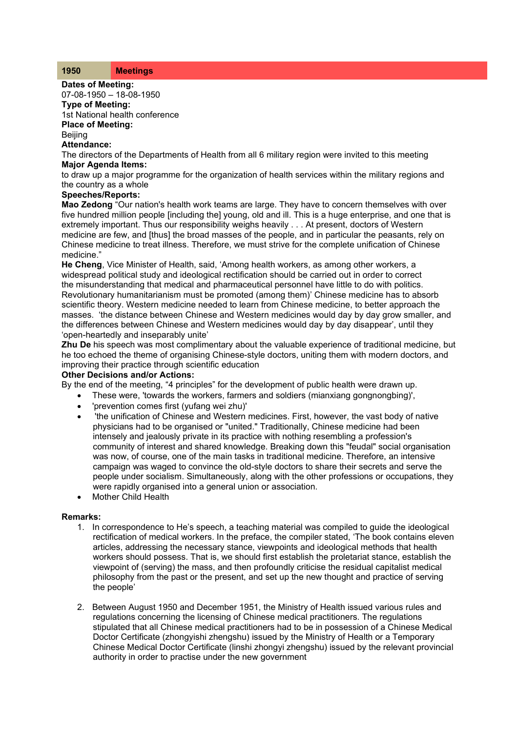| 1950 | <b>Meetings</b> |
|------|-----------------|
|------|-----------------|

**Dates of Meeting:** 07-08-1950 – 18-08-1950

## **Type of Meeting:**

1st National health conference **Place of Meeting: Beiling** 

**Attendance:**

The directors of the Departments of Health from all 6 military region were invited to this meeting **Major Agenda Items:**

to draw up a major programme for the organization of health services within the military regions and the country as a whole

## **Speeches/Reports:**

**Mao Zedong** "Our nation's health work teams are large. They have to concern themselves with over five hundred million people [including the] young, old and ill. This is a huge enterprise, and one that is extremely important. Thus our responsibility weighs heavily . . . At present, doctors of Western medicine are few, and [thus] the broad masses of the people, and in particular the peasants, rely on Chinese medicine to treat illness. Therefore, we must strive for the complete unification of Chinese medicine."

**He Cheng**, Vice Minister of Health, said, 'Among health workers, as among other workers, a widespread political study and ideological rectification should be carried out in order to correct the misunderstanding that medical and pharmaceutical personnel have little to do with politics. Revolutionary humanitarianism must be promoted (among them)' Chinese medicine has to absorb scientific theory. Western medicine needed to learn from Chinese medicine, to better approach the masses. 'the distance between Chinese and Western medicines would day by day grow smaller, and the differences between Chinese and Western medicines would day by day disappear', until they 'open-heartedly and inseparably unite'

**Zhu De** his speech was most complimentary about the valuable experience of traditional medicine, but he too echoed the theme of organising Chinese-style doctors, uniting them with modern doctors, and improving their practice through scientific education

## **Other Decisions and/or Actions:**

By the end of the meeting, "4 principles" for the development of public health were drawn up.

- These were, 'towards the workers, farmers and soldiers (mianxiang gongnongbing)',
- 'prevention comes first (yufang wei zhu)'
- 'the unification of Chinese and Western medicines. First, however, the vast body of native physicians had to be organised or "united." Traditionally, Chinese medicine had been intensely and jealously private in its practice with nothing resembling a profession's community of interest and shared knowledge. Breaking down this "feudal" social organisation was now, of course, one of the main tasks in traditional medicine. Therefore, an intensive campaign was waged to convince the old-style doctors to share their secrets and serve the people under socialism. Simultaneously, along with the other professions or occupations, they were rapidly organised into a general union or association.
- Mother Child Health

## **Remarks:**

- 1. In correspondence to He's speech, a teaching material was compiled to guide the ideological rectification of medical workers. In the preface, the compiler stated, 'The book contains eleven articles, addressing the necessary stance, viewpoints and ideological methods that health workers should possess. That is, we should first establish the proletariat stance, establish the viewpoint of (serving) the mass, and then profoundly criticise the residual capitalist medical philosophy from the past or the present, and set up the new thought and practice of serving the people'
- 2. Between August 1950 and December 1951, the Ministry of Health issued various rules and regulations concerning the licensing of Chinese medical practitioners. The regulations stipulated that all Chinese medical practitioners had to be in possession of a Chinese Medical Doctor Certificate (zhongyishi zhengshu) issued by the Ministry of Health or a Temporary Chinese Medical Doctor Certificate (linshi zhongyi zhengshu) issued by the relevant provincial authority in order to practise under the new government